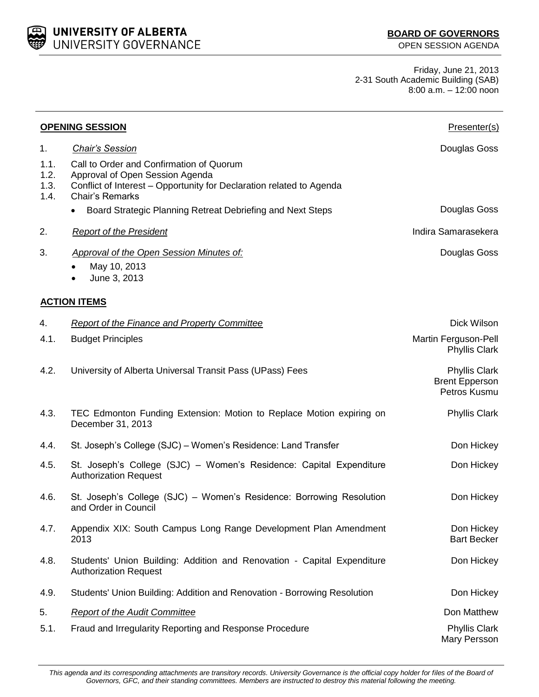UNIVERSITY OF ALBERTA UNIVERSITY GOVERNANCE

Friday, June 21, 2013 2-31 South Academic Building (SAB) 8:00 a.m. – 12:00 noon

| <b>OPENING SESSION</b>       |                                                                                                                                                                                                                                             | Presenter(s)                                                  |  |  |
|------------------------------|---------------------------------------------------------------------------------------------------------------------------------------------------------------------------------------------------------------------------------------------|---------------------------------------------------------------|--|--|
| 1.                           | <b>Chair's Session</b>                                                                                                                                                                                                                      | Douglas Goss                                                  |  |  |
| 1.1.<br>1.2.<br>1.3.<br>1.4. | Call to Order and Confirmation of Quorum<br>Approval of Open Session Agenda<br>Conflict of Interest - Opportunity for Declaration related to Agenda<br><b>Chair's Remarks</b><br>Board Strategic Planning Retreat Debriefing and Next Steps | Douglas Goss                                                  |  |  |
| 2.                           | <b>Report of the President</b>                                                                                                                                                                                                              | Indira Samarasekera                                           |  |  |
|                              |                                                                                                                                                                                                                                             |                                                               |  |  |
| 3.                           | <b>Approval of the Open Session Minutes of:</b><br>May 10, 2013<br>June 3, 2013                                                                                                                                                             | Douglas Goss                                                  |  |  |
| <b>ACTION ITEMS</b>          |                                                                                                                                                                                                                                             |                                                               |  |  |
| 4.                           | <b>Report of the Finance and Property Committee</b>                                                                                                                                                                                         | Dick Wilson                                                   |  |  |
| 4.1.                         | <b>Budget Principles</b>                                                                                                                                                                                                                    | Martin Ferguson-Pell<br><b>Phyllis Clark</b>                  |  |  |
| 4.2.                         | University of Alberta Universal Transit Pass (UPass) Fees                                                                                                                                                                                   | <b>Phyllis Clark</b><br><b>Brent Epperson</b><br>Petros Kusmu |  |  |
| 4.3.                         | TEC Edmonton Funding Extension: Motion to Replace Motion expiring on<br>December 31, 2013                                                                                                                                                   | <b>Phyllis Clark</b>                                          |  |  |
| 4.4.                         | St. Joseph's College (SJC) - Women's Residence: Land Transfer                                                                                                                                                                               | Don Hickey                                                    |  |  |
| 4.5.                         | St. Joseph's College (SJC) - Women's Residence: Capital Expenditure<br><b>Authorization Request</b>                                                                                                                                         | Don Hickey                                                    |  |  |
| 4.6.                         | St. Joseph's College (SJC) - Women's Residence: Borrowing Resolution<br>and Order in Council                                                                                                                                                | Don Hickey                                                    |  |  |
| 4.7.                         | Appendix XIX: South Campus Long Range Development Plan Amendment<br>2013                                                                                                                                                                    | Don Hickey<br><b>Bart Becker</b>                              |  |  |
| 4.8.                         | Students' Union Building: Addition and Renovation - Capital Expenditure<br><b>Authorization Request</b>                                                                                                                                     | Don Hickey                                                    |  |  |
| 4.9.                         | Students' Union Building: Addition and Renovation - Borrowing Resolution                                                                                                                                                                    | Don Hickey                                                    |  |  |
| 5.                           | <b>Report of the Audit Committee</b>                                                                                                                                                                                                        | Don Matthew                                                   |  |  |
| 5.1.                         | Fraud and Irregularity Reporting and Response Procedure                                                                                                                                                                                     | <b>Phyllis Clark</b><br>Mary Persson                          |  |  |

*This agenda and its corresponding attachments are transitory records. University Governance is the official copy holder for files of the Board of Governors, GFC, and their standing committees. Members are instructed to destroy this material following the meeting.*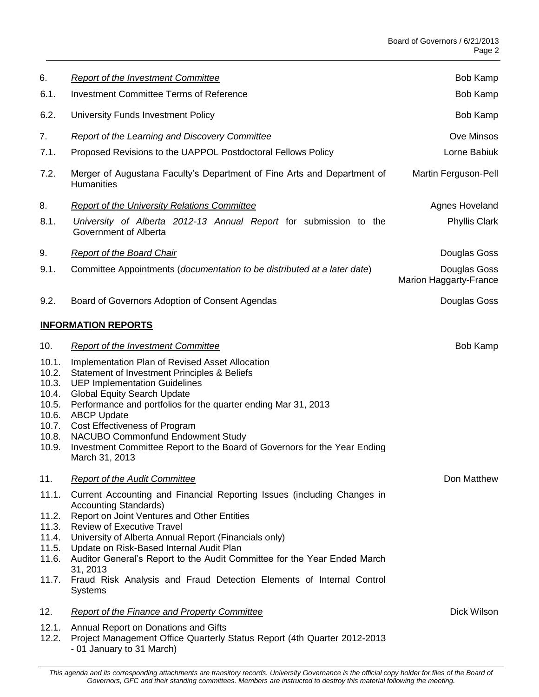| 6.                                                                            | <b>Report of the Investment Committee</b>                                                                                                                                                                                                                                                                                                                                                                                                                                          | Bob Kamp                               |
|-------------------------------------------------------------------------------|------------------------------------------------------------------------------------------------------------------------------------------------------------------------------------------------------------------------------------------------------------------------------------------------------------------------------------------------------------------------------------------------------------------------------------------------------------------------------------|----------------------------------------|
| 6.1.                                                                          | <b>Investment Committee Terms of Reference</b>                                                                                                                                                                                                                                                                                                                                                                                                                                     | Bob Kamp                               |
| 6.2.                                                                          | University Funds Investment Policy                                                                                                                                                                                                                                                                                                                                                                                                                                                 | Bob Kamp                               |
| 7.                                                                            | <b>Report of the Learning and Discovery Committee</b>                                                                                                                                                                                                                                                                                                                                                                                                                              | Ove Minsos                             |
| 7.1.                                                                          | Proposed Revisions to the UAPPOL Postdoctoral Fellows Policy                                                                                                                                                                                                                                                                                                                                                                                                                       | Lorne Babiuk                           |
| 7.2.                                                                          | Merger of Augustana Faculty's Department of Fine Arts and Department of<br><b>Humanities</b>                                                                                                                                                                                                                                                                                                                                                                                       | Martin Ferguson-Pell                   |
| 8.                                                                            | <b>Report of the University Relations Committee</b>                                                                                                                                                                                                                                                                                                                                                                                                                                | Agnes Hoveland                         |
| 8.1.                                                                          | University of Alberta 2012-13 Annual Report for submission to the<br>Government of Alberta                                                                                                                                                                                                                                                                                                                                                                                         | <b>Phyllis Clark</b>                   |
| 9.                                                                            | <b>Report of the Board Chair</b>                                                                                                                                                                                                                                                                                                                                                                                                                                                   | Douglas Goss                           |
| 9.1.                                                                          | Committee Appointments (documentation to be distributed at a later date)                                                                                                                                                                                                                                                                                                                                                                                                           | Douglas Goss<br>Marion Haggarty-France |
| 9.2.                                                                          | Board of Governors Adoption of Consent Agendas                                                                                                                                                                                                                                                                                                                                                                                                                                     | Douglas Goss                           |
|                                                                               | <b>INFORMATION REPORTS</b>                                                                                                                                                                                                                                                                                                                                                                                                                                                         |                                        |
| 10.                                                                           | <b>Report of the Investment Committee</b>                                                                                                                                                                                                                                                                                                                                                                                                                                          | Bob Kamp                               |
| 10.1.<br>10.2.<br>10.3.<br>10.4.<br>10.5.<br>10.6.<br>10.7.<br>10.8.<br>10.9. | Implementation Plan of Revised Asset Allocation<br>Statement of Investment Principles & Beliefs<br><b>UEP Implementation Guidelines</b><br><b>Global Equity Search Update</b><br>Performance and portfolios for the quarter ending Mar 31, 2013<br><b>ABCP Update</b><br>Cost Effectiveness of Program<br>NACUBO Commonfund Endowment Study<br>Investment Committee Report to the Board of Governors for the Year Ending<br>March 31, 2013                                         |                                        |
| 11.                                                                           | <b>Report of the Audit Committee</b>                                                                                                                                                                                                                                                                                                                                                                                                                                               | Don Matthew                            |
| 11.1.<br>11.2.<br>11.3.<br>11.4.<br>11.5.<br>11.6.<br>11.7.                   | Current Accounting and Financial Reporting Issues (including Changes in<br><b>Accounting Standards)</b><br>Report on Joint Ventures and Other Entities<br><b>Review of Executive Travel</b><br>University of Alberta Annual Report (Financials only)<br>Update on Risk-Based Internal Audit Plan<br>Auditor General's Report to the Audit Committee for the Year Ended March<br>31, 2013<br>Fraud Risk Analysis and Fraud Detection Elements of Internal Control<br><b>Systems</b> |                                        |
| 12.                                                                           | <b>Report of the Finance and Property Committee</b>                                                                                                                                                                                                                                                                                                                                                                                                                                | Dick Wilson                            |
| 12.1.<br>12.2.                                                                | Annual Report on Donations and Gifts<br>Project Management Office Quarterly Status Report (4th Quarter 2012-2013<br>- 01 January to 31 March)                                                                                                                                                                                                                                                                                                                                      |                                        |

This agenda and its corresponding attachments are transitory records. University Governance is the official copy holder for files of the Board of *Governors, GFC and their standing committees. Members are instructed to destroy this material following the meeting.*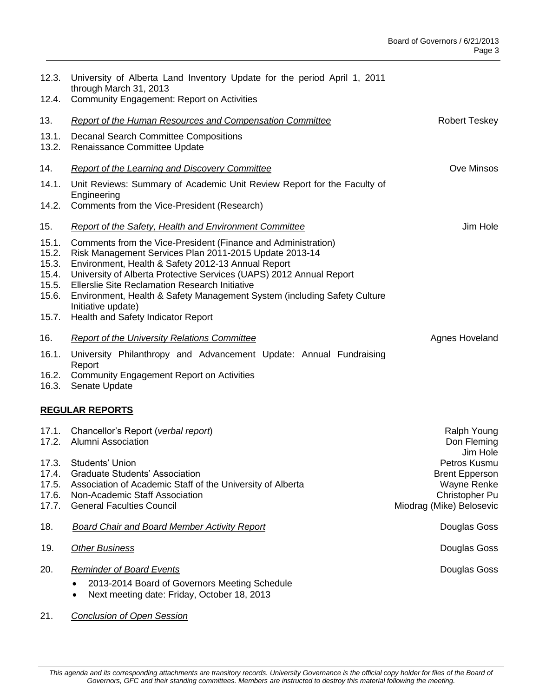| 12.3.                                              | University of Alberta Land Inventory Update for the period April 1, 2011<br>through March 31, 2013                                                                                                                                                                                                                                                                                                              |                                                                                                    |  |  |
|----------------------------------------------------|-----------------------------------------------------------------------------------------------------------------------------------------------------------------------------------------------------------------------------------------------------------------------------------------------------------------------------------------------------------------------------------------------------------------|----------------------------------------------------------------------------------------------------|--|--|
| 12.4.                                              | <b>Community Engagement: Report on Activities</b>                                                                                                                                                                                                                                                                                                                                                               |                                                                                                    |  |  |
| 13.                                                | <b>Report of the Human Resources and Compensation Committee</b>                                                                                                                                                                                                                                                                                                                                                 | Robert Teskey                                                                                      |  |  |
| 13.1.<br>13.2.                                     | <b>Decanal Search Committee Compositions</b><br>Renaissance Committee Update                                                                                                                                                                                                                                                                                                                                    |                                                                                                    |  |  |
| 14.                                                | <b>Report of the Learning and Discovery Committee</b>                                                                                                                                                                                                                                                                                                                                                           | Ove Minsos                                                                                         |  |  |
| 14.1.                                              | Unit Reviews: Summary of Academic Unit Review Report for the Faculty of<br>Engineering                                                                                                                                                                                                                                                                                                                          |                                                                                                    |  |  |
| 14.2.                                              | Comments from the Vice-President (Research)                                                                                                                                                                                                                                                                                                                                                                     |                                                                                                    |  |  |
| 15.                                                | Report of the Safety, Health and Environment Committee                                                                                                                                                                                                                                                                                                                                                          | Jim Hole                                                                                           |  |  |
| 15.1.<br>15.2.<br>15.3.<br>15.4.<br>15.5.<br>15.6. | Comments from the Vice-President (Finance and Administration)<br>Risk Management Services Plan 2011-2015 Update 2013-14<br>Environment, Health & Safety 2012-13 Annual Report<br>University of Alberta Protective Services (UAPS) 2012 Annual Report<br><b>Ellerslie Site Reclamation Research Initiative</b><br>Environment, Health & Safety Management System (including Safety Culture<br>Initiative update) |                                                                                                    |  |  |
| 15.7.                                              | Health and Safety Indicator Report                                                                                                                                                                                                                                                                                                                                                                              |                                                                                                    |  |  |
| 16.                                                | <b>Report of the University Relations Committee</b>                                                                                                                                                                                                                                                                                                                                                             | Agnes Hoveland                                                                                     |  |  |
| 16.1.<br>16.2.<br>16.3.                            | University Philanthropy and Advancement Update: Annual Fundraising<br>Report<br><b>Community Engagement Report on Activities</b><br>Senate Update                                                                                                                                                                                                                                                               |                                                                                                    |  |  |
| <b>REGULAR REPORTS</b>                             |                                                                                                                                                                                                                                                                                                                                                                                                                 |                                                                                                    |  |  |
| 17.1.<br>17.2.                                     | Chancellor's Report (verbal report)<br><b>Alumni Association</b>                                                                                                                                                                                                                                                                                                                                                | Ralph Young<br>Don Fleming<br>Jim Hole                                                             |  |  |
| 17.4.<br>17.5.<br>17.6.<br>17.7.                   | 17.3. Students' Union<br><b>Graduate Students' Association</b><br>Association of Academic Staff of the University of Alberta<br>Non-Academic Staff Association<br><b>General Faculties Council</b>                                                                                                                                                                                                              | Petros Kusmu<br><b>Brent Epperson</b><br>Wayne Renke<br>Christopher Pu<br>Miodrag (Mike) Belosevic |  |  |
| 18.                                                | <b>Board Chair and Board Member Activity Report</b>                                                                                                                                                                                                                                                                                                                                                             | Douglas Goss                                                                                       |  |  |
| 19.                                                | <b>Other Business</b>                                                                                                                                                                                                                                                                                                                                                                                           | Douglas Goss                                                                                       |  |  |
| 20.                                                | <b>Reminder of Board Events</b><br>2013-2014 Board of Governors Meeting Schedule<br>Next meeting date: Friday, October 18, 2013<br>$\bullet$                                                                                                                                                                                                                                                                    | Douglas Goss                                                                                       |  |  |
|                                                    |                                                                                                                                                                                                                                                                                                                                                                                                                 |                                                                                                    |  |  |

21. *Conclusion of Open Session*